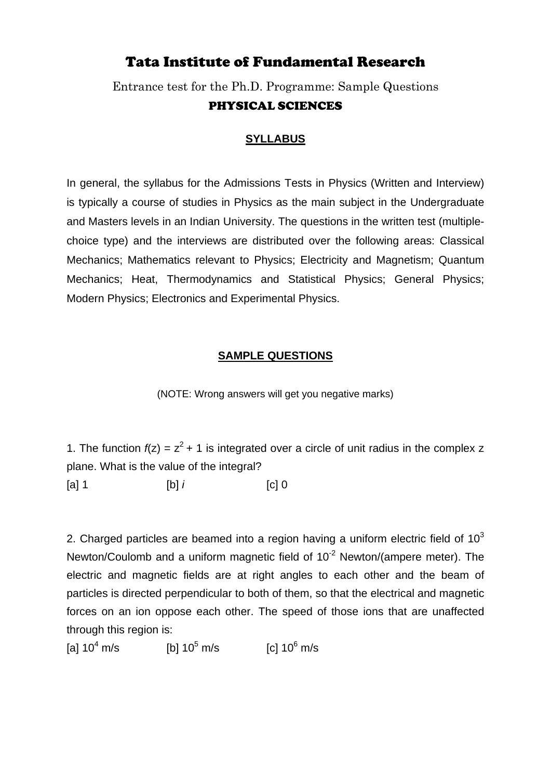## Tata Institute of Fundamental Research

Entrance test for the Ph.D. Programme: Sample Questions PHYSICAL SCIENCES

## **SYLLABUS**

In general, the syllabus for the Admissions Tests in Physics (Written and Interview) is typically a course of studies in Physics as the main subject in the Undergraduate and Masters levels in an Indian University. The questions in the written test (multiplechoice type) and the interviews are distributed over the following areas: Classical Mechanics; Mathematics relevant to Physics; Electricity and Magnetism; Quantum Mechanics; Heat, Thermodynamics and Statistical Physics; General Physics; Modern Physics; Electronics and Experimental Physics.

## **SAMPLE QUESTIONS**

(NOTE: Wrong answers will get you negative marks)

1. The function  $f(z) = z^2 + 1$  is integrated over a circle of unit radius in the complex z plane. What is the value of the integral? [a] 1 [b] *i* [c] 0

2. Charged particles are beamed into a region having a uniform electric field of  $10^3$ Newton/Coulomb and a uniform magnetic field of  $10^{-2}$  Newton/(ampere meter). The electric and magnetic fields are at right angles to each other and the beam of particles is directed perpendicular to both of them, so that the electrical and magnetic forces on an ion oppose each other. The speed of those ions that are unaffected through this region is:

[a]  $10^4$  m/s m/s [b]  $10^5$  m/s [c]  $10^6$  m/s